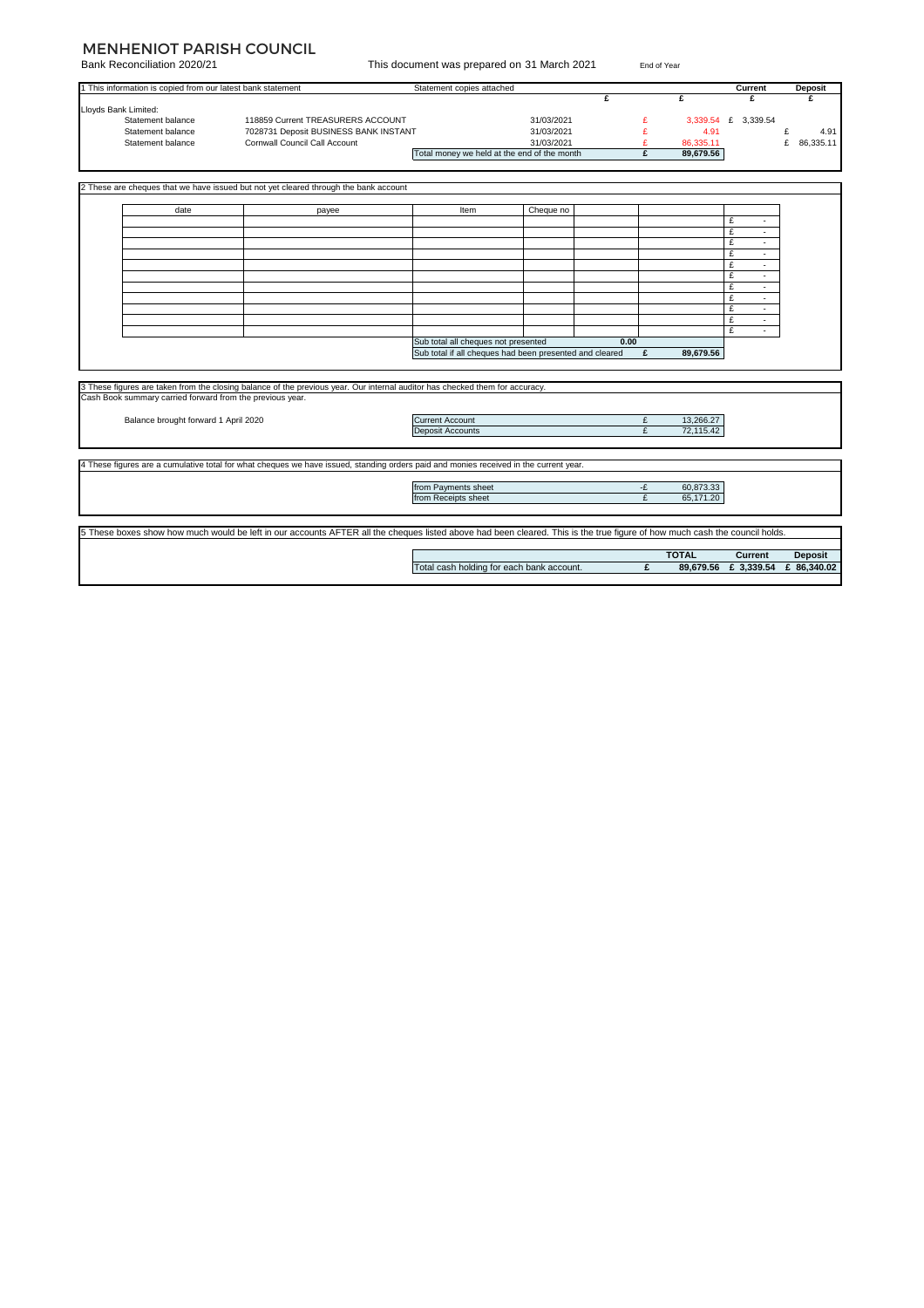#### MENHENIOT PARISH COUNCIL

| Bank Reconciliation 2020/21<br>This document was prepared on 31 March 2021<br>End of Year                                                                                  |                                                             |                                                                                                                                       |                                                         |            |              |              |              |                      |                |
|----------------------------------------------------------------------------------------------------------------------------------------------------------------------------|-------------------------------------------------------------|---------------------------------------------------------------------------------------------------------------------------------------|---------------------------------------------------------|------------|--------------|--------------|--------------|----------------------|----------------|
|                                                                                                                                                                            | 1 This information is copied from our latest bank statement |                                                                                                                                       | Statement copies attached                               |            |              |              |              | Current              | <b>Deposit</b> |
|                                                                                                                                                                            |                                                             |                                                                                                                                       |                                                         |            | $\mathbf{f}$ |              | £            | £                    | £              |
| Lloyds Bank Limited:                                                                                                                                                       |                                                             |                                                                                                                                       |                                                         |            |              |              |              |                      |                |
|                                                                                                                                                                            | Statement balance                                           | 118859 Current TREASURERS ACCOUNT                                                                                                     |                                                         | 31/03/2021 |              | £            |              | 3,339.54 £ 3,339.54  |                |
|                                                                                                                                                                            | Statement balance                                           | 7028731 Deposit BUSINESS BANK INSTANT                                                                                                 |                                                         | 31/03/2021 |              | £            | 4.91         |                      | £<br>4.91      |
|                                                                                                                                                                            | Statement balance                                           | Cornwall Council Call Account                                                                                                         |                                                         | 31/03/2021 |              | £            | 86,335.11    |                      | £ 86,335.11    |
|                                                                                                                                                                            |                                                             |                                                                                                                                       | Total money we held at the end of the month             |            |              | £            | 89,679.56    |                      |                |
|                                                                                                                                                                            |                                                             |                                                                                                                                       |                                                         |            |              |              |              |                      |                |
|                                                                                                                                                                            |                                                             |                                                                                                                                       |                                                         |            |              |              |              |                      |                |
|                                                                                                                                                                            |                                                             | 2 These are cheques that we have issued but not yet cleared through the bank account                                                  |                                                         |            |              |              |              |                      |                |
|                                                                                                                                                                            | date                                                        |                                                                                                                                       | Item                                                    | Cheque no  |              |              |              |                      |                |
|                                                                                                                                                                            |                                                             | payee                                                                                                                                 |                                                         |            |              |              |              | £                    |                |
|                                                                                                                                                                            |                                                             |                                                                                                                                       |                                                         |            |              |              |              | £<br>٠.              |                |
|                                                                                                                                                                            |                                                             |                                                                                                                                       |                                                         |            |              |              |              |                      |                |
|                                                                                                                                                                            |                                                             |                                                                                                                                       |                                                         |            |              |              |              | £<br>÷.              |                |
|                                                                                                                                                                            |                                                             |                                                                                                                                       |                                                         |            |              |              |              | £<br>$\sim$          |                |
|                                                                                                                                                                            |                                                             |                                                                                                                                       |                                                         |            |              |              |              | £                    |                |
|                                                                                                                                                                            |                                                             |                                                                                                                                       |                                                         |            |              |              |              | £<br>÷.              |                |
|                                                                                                                                                                            |                                                             |                                                                                                                                       |                                                         |            |              |              |              | £                    |                |
|                                                                                                                                                                            |                                                             |                                                                                                                                       |                                                         |            |              |              |              | £<br>$\blacksquare$  |                |
|                                                                                                                                                                            |                                                             |                                                                                                                                       |                                                         |            |              |              |              | £<br>$\sim$          |                |
|                                                                                                                                                                            |                                                             |                                                                                                                                       |                                                         |            |              |              |              | £<br>×.              |                |
|                                                                                                                                                                            |                                                             |                                                                                                                                       |                                                         |            |              |              |              | £<br>$\sim$          |                |
|                                                                                                                                                                            |                                                             |                                                                                                                                       | Sub total all cheques not presented                     |            | 0.00         |              |              |                      |                |
|                                                                                                                                                                            |                                                             |                                                                                                                                       | Sub total if all cheques had been presented and cleared |            |              | £            | 89,679.56    |                      |                |
|                                                                                                                                                                            |                                                             |                                                                                                                                       |                                                         |            |              |              |              |                      |                |
|                                                                                                                                                                            |                                                             |                                                                                                                                       |                                                         |            |              |              |              |                      |                |
|                                                                                                                                                                            |                                                             | 3 These figures are taken from the closing balance of the previous year. Our internal auditor has checked them for accuracy.          |                                                         |            |              |              |              |                      |                |
|                                                                                                                                                                            | Cash Book summary carried forward from the previous year.   |                                                                                                                                       |                                                         |            |              |              |              |                      |                |
|                                                                                                                                                                            |                                                             |                                                                                                                                       |                                                         |            |              |              |              |                      |                |
| Balance brought forward 1 April 2020                                                                                                                                       |                                                             |                                                                                                                                       | <b>Current Account</b>                                  |            |              | £            | 13,266.27    |                      |                |
|                                                                                                                                                                            |                                                             |                                                                                                                                       | <b>Deposit Accounts</b>                                 |            |              | $\mathbf{f}$ | 72,115.42    |                      |                |
|                                                                                                                                                                            |                                                             |                                                                                                                                       |                                                         |            |              |              |              |                      |                |
|                                                                                                                                                                            |                                                             | 4 These figures are a cumulative total for what cheques we have issued, standing orders paid and monies received in the current year. |                                                         |            |              |              |              |                      |                |
|                                                                                                                                                                            |                                                             |                                                                                                                                       |                                                         |            |              |              |              |                      |                |
|                                                                                                                                                                            |                                                             |                                                                                                                                       | from Payments sheet                                     |            |              | -£           | 60,873.33    |                      |                |
|                                                                                                                                                                            |                                                             |                                                                                                                                       | from Receipts sheet                                     |            |              | £            | 65,171.20    |                      |                |
|                                                                                                                                                                            |                                                             |                                                                                                                                       |                                                         |            |              |              |              |                      |                |
|                                                                                                                                                                            |                                                             |                                                                                                                                       |                                                         |            |              |              |              |                      |                |
| 5 These boxes show how much would be left in our accounts AFTER all the cheques listed above had been cleared. This is the true figure of how much cash the council holds. |                                                             |                                                                                                                                       |                                                         |            |              |              |              |                      |                |
|                                                                                                                                                                            |                                                             |                                                                                                                                       |                                                         |            |              |              |              |                      |                |
|                                                                                                                                                                            |                                                             |                                                                                                                                       |                                                         |            |              |              | <b>TOTAL</b> | Current              | <b>Deposit</b> |
|                                                                                                                                                                            |                                                             |                                                                                                                                       | Total cash holding for each bank account.               |            |              | £            |              | 89,679.56 £ 3,339.54 | £ 86,340.02    |
|                                                                                                                                                                            |                                                             |                                                                                                                                       |                                                         |            |              |              |              |                      |                |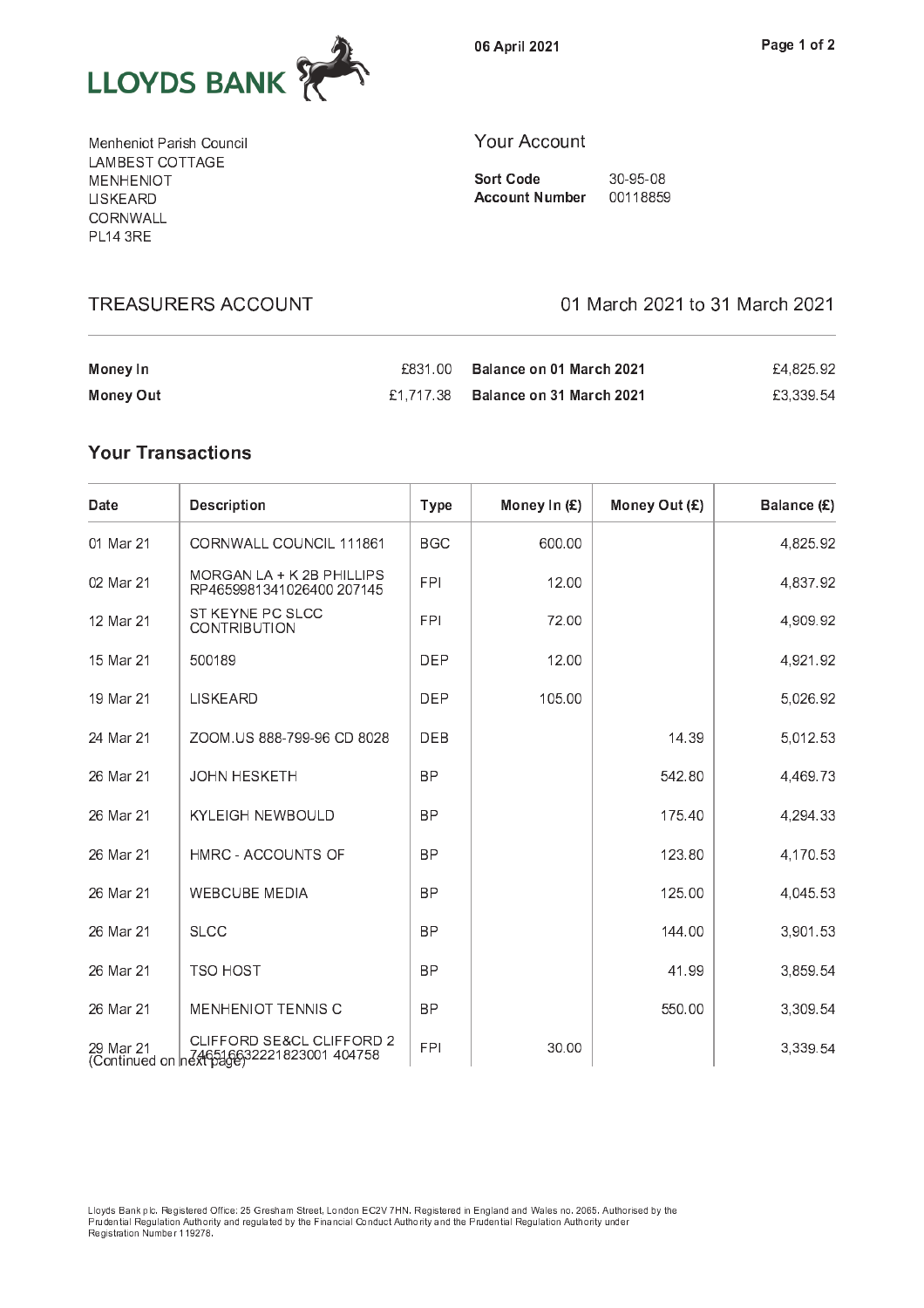

06 April 2021

Menheniot Parish Council LAMBEST COTTAGE MENHENIOT LISKEARD CORNWALL **PL14 3RE** 

**TREASURERS ACCOUNT** 

#### **Your Account**

**Sort Code** 30-95-08 **Account Number** 00118859

01 March 2021 to 31 March 2021

| Money In  | £831.00 | Balance on 01 March 2021           | £4.825.92 |
|-----------|---------|------------------------------------|-----------|
| Money Out |         | £1.717.38 Balance on 31 March 2021 | £3.339.54 |

# **Your Transactions**

| Date      | <b>Description</b>                                                        | <b>Type</b> | Money In (£) | Money Out (£) | Balance (£) |
|-----------|---------------------------------------------------------------------------|-------------|--------------|---------------|-------------|
| 01 Mar 21 | CORNWALL COUNCIL 111861                                                   | <b>BGC</b>  | 600.00       |               | 4,825.92    |
| 02 Mar 21 | MORGAN LA + K 2B PHILLIPS<br>RP4659981341026400 207145                    | <b>FPI</b>  | 12.00        |               | 4,837.92    |
| 12 Mar 21 | ST KEYNE PC SLCC<br><b>CONTRIBUTION</b>                                   | <b>FPI</b>  | 72.00        |               | 4,909.92    |
| 15 Mar 21 | 500189                                                                    | <b>DEP</b>  | 12.00        |               | 4,921.92    |
| 19 Mar 21 | <b>LISKEARD</b>                                                           | <b>DEP</b>  | 105.00       |               | 5,026.92    |
| 24 Mar 21 | ZOOM.US 888-799-96 CD 8028                                                | <b>DEB</b>  |              | 14.39         | 5,012.53    |
| 26 Mar 21 | <b>JOHN HESKETH</b>                                                       | <b>BP</b>   |              | 542.80        | 4,469.73    |
| 26 Mar 21 | <b>KYLEIGH NEWBOULD</b>                                                   | <b>BP</b>   |              | 175.40        | 4,294.33    |
| 26 Mar 21 | HMRC - ACCOUNTS OF                                                        | <b>BP</b>   |              | 123.80        | 4,170.53    |
| 26 Mar 21 | <b>WEBCUBE MEDIA</b>                                                      | <b>BP</b>   |              | 125.00        | 4,045.53    |
| 26 Mar 21 | <b>SLCC</b>                                                               | <b>BP</b>   |              | 144.00        | 3,901.53    |
| 26 Mar 21 | <b>TSO HOST</b>                                                           | <b>BP</b>   |              | 41.99         | 3,859.54    |
| 26 Mar 21 | <b>MENHENIOT TENNIS C</b>                                                 | <b>BP</b>   |              | 550.00        | 3,309.54    |
| 29 Mar 21 | CLIFFORD SE&CL CLIFFORD 2<br>(Continued on next 646516632221823001 404758 | <b>FPI</b>  | 30.00        |               | 3,339.54    |

Lloyds Bank plc. Registered Office: 25 Gresham Street, London EC2V 7HN. Registered in England and Wales no. 2065. Authorised by the<br>Prudential Regulation Authority and regulated by the Financial Conduct Authority and the P Registration Number 119278.